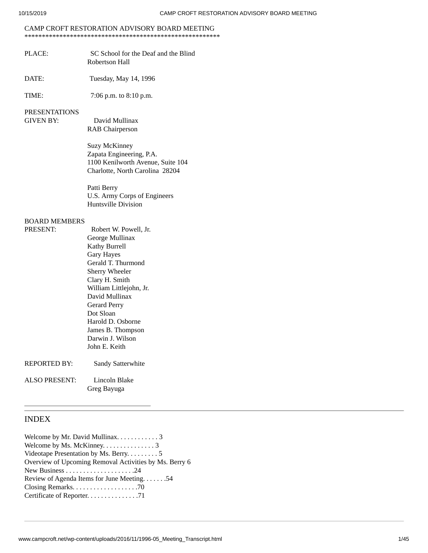# CAMP CROFT RESTORATION ADVISORY BOARD MEETING

- \*\*\*\*\*\*\*\*\*\*\*\*\*\*\*\*\*\*\*\*\*\*\*\*\*\*\*\*\*\*\*\*\*\*\*\*\*\*\*\*\*\*\*\*\*\*\*\*\*\*\*\*\*\*\*\*
- PLACE: SC School for the Deaf and the Blind Robertson Hall
- DATE: Tuesday, May 14, 1996

TIME: 7:06 p.m. to 8:10 p.m.

#### PRESENTATIONS

GIVEN BY: David Mullinax RAB Chairperson

> Suzy McKinney Zapata Engineering, P.A. 1100 Kenilworth Avenue, Suite 104 Charlotte, North Carolina 28204

Patti Berry U.S. Army Corps of Engineers Huntsville Division

#### BOARD MEMBERS

PRESENT: Robert W. Powell, Jr. George Mullinax Kathy Burrell Gary Hayes Gerald T. Thurmond Sherry Wheeler Clary H. Smith William Littlejohn, Jr. David Mullinax Gerard Perry Dot Sloan Harold D. Osborne James B. Thompson Darwin J. Wilson John E. Keith REPORTED BY: Sandy Satterwhite

ALSO PRESENT: Lincoln Blake

Greg Bayuga

# INDEX

Welcome by Mr. David Mullinax. . . . . . . . . . . 3 Welcome by Ms. McKinney. . . . . . . . . . . . . . 3 Videotape Presentation by Ms. Berry. . . . . . . . . 5 Overview of Upcoming Removal Activities by Ms. Berry 6 New Business . . . . . . . . . . . . . . . . . . . .24 Review of Agenda Items for June Meeting. . . . . . .54 Closing Remarks. . . . . . . . . . . . . . . . . . .70 Certificate of Reporter. . . . . . . . . . . . . . .71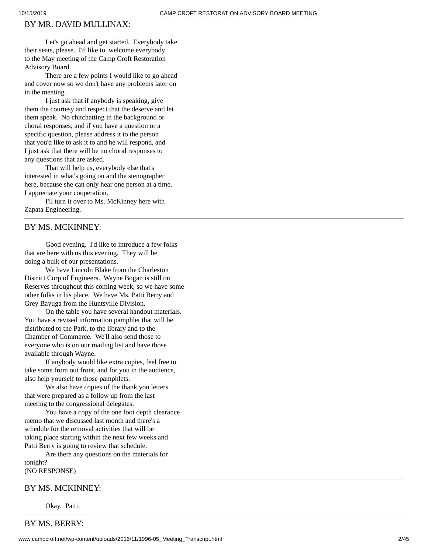# BY MR. DAVID MULLINAX:

Let's go ahead and get started. Everybody take their seats, please. I'd like to welcome everybody to the May meeting of the Camp Croft Restoration Advisory Board.

There are a few points I would like to go ahead and cover now so we don't have any problems later on in the meeting.

I just ask that if anybody is speaking, give them the courtesy and respect that the deserve and let them speak. No chitchatting in the background or choral responses; and if you have a question or a specific question, please address it to the person that you'd like to ask it to and he will respond, and I just ask that there will be no choral responses to any questions that are asked.

That will help us, everybody else that's interested in what's going on and the stenographer here, because she can only hear one person at a time. I appreciate your cooperation.

I'll turn it over to Ms. McKinney here with Zapata Engineering.

## BY MS. MCKINNEY:

Good evening. I'd like to introduce a few folks that are here with us this evening. They will be doing a bulk of our presentations.

We have Lincoln Blake from the Charleston District Corp of Engineers. Wayne Bogan is still on Reserves throughout this coming week, so we have some other folks in his place. We have Ms. Patti Berry and Grey Bayuga from the Huntsville Division.

On the table you have several handout materials. You have a revised information pamphlet that will be distributed to the Park, to the library and to the Chamber of Commerce. We'll also send those to everyone who is on our mailing list and have those available through Wayne.

If anybody would like extra copies, feel free to take some from out front, and for you in the audience, also help yourself to those pamphlets.

We also have copies of the thank you letters that were prepared as a follow up from the last meeting to the congressional delegates.

You have a copy of the one foot depth clearance memo that we discussed last month and there's a schedule for the removal activities that will be taking place starting within the next few weeks and Patti Berry is going to review that schedule.

Are there any questions on the materials for tonight? (NO RESPONSE)

#### BY MS. MCKINNEY:

Okay. Patti.

BY MS. BERRY: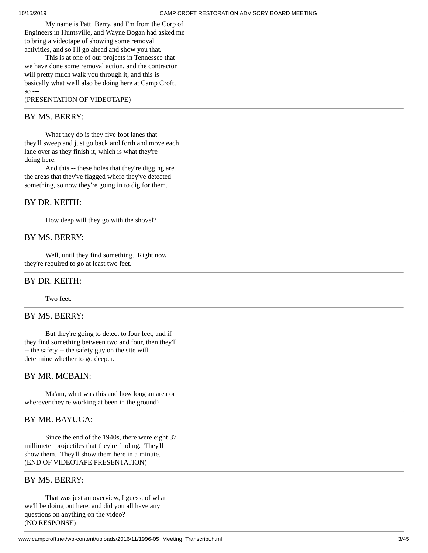My name is Patti Berry, and I'm from the Corp of Engineers in Huntsville, and Wayne Bogan had asked me to bring a videotape of showing some removal activities, and so I'll go ahead and show you that.

This is at one of our projects in Tennessee that we have done some removal action, and the contractor will pretty much walk you through it, and this is basically what we'll also be doing here at Camp Croft, so --- (PRESENTATION OF VIDEOTAPE)

#### BY MS. BERRY:

What they do is they five foot lanes that they'll sweep and just go back and forth and move each lane over as they finish it, which is what they're doing here.

And this -- these holes that they're digging are the areas that they've flagged where they've detected something, so now they're going in to dig for them.

## BY DR. KEITH:

How deep will they go with the shovel?

## BY MS. BERRY:

Well, until they find something. Right now they're required to go at least two feet.

#### BY DR. KEITH:

#### Two feet.

## BY MS. BERRY:

But they're going to detect to four feet, and if they find something between two and four, then they'll -- the safety -- the safety guy on the site will determine whether to go deeper.

## BY MR. MCBAIN:

Ma'am, what was this and how long an area or wherever they're working at been in the ground?

## BY MR. BAYUGA:

Since the end of the 1940s, there were eight 37 millimeter projectiles that they're finding. They'll show them. They'll show them here in a minute. (END OF VIDEOTAPE PRESENTATION)

## BY MS. BERRY:

That was just an overview, I guess, of what we'll be doing out here, and did you all have any questions on anything on the video? (NO RESPONSE)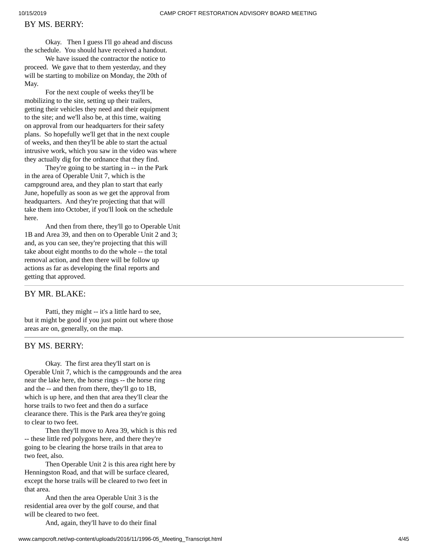#### BY MS. BERRY:

Okay. Then I guess I'll go ahead and discuss the schedule. You should have received a handout.

We have issued the contractor the notice to proceed. We gave that to them yesterday, and they will be starting to mobilize on Monday, the 20th of May.

For the next couple of weeks they'll be mobilizing to the site, setting up their trailers, getting their vehicles they need and their equipment to the site; and we'll also be, at this time, waiting on approval from our headquarters for their safety plans. So hopefully we'll get that in the next couple of weeks, and then they'll be able to start the actual intrusive work, which you saw in the video was where they actually dig for the ordnance that they find.

They're going to be starting in -- in the Park in the area of Operable Unit 7, which is the campground area, and they plan to start that early June, hopefully as soon as we get the approval from headquarters. And they're projecting that that will take them into October, if you'll look on the schedule here.

And then from there, they'll go to Operable Unit 1B and Area 39, and then on to Operable Unit 2 and 3; and, as you can see, they're projecting that this will take about eight months to do the whole -- the total removal action, and then there will be follow up actions as far as developing the final reports and getting that approved.

#### BY MR. BLAKE:

Patti, they might -- it's a little hard to see, but it might be good if you just point out where those areas are on, generally, on the map.

# BY MS. BERRY:

Okay. The first area they'll start on is Operable Unit 7, which is the campgrounds and the area near the lake here, the horse rings -- the horse ring and the -- and then from there, they'll go to 1B, which is up here, and then that area they'll clear the horse trails to two feet and then do a surface clearance there. This is the Park area they're going to clear to two feet.

Then they'll move to Area 39, which is this red -- these little red polygons here, and there they're going to be clearing the horse trails in that area to two feet, also.

Then Operable Unit 2 is this area right here by Henningston Road, and that will be surface cleared, except the horse trails will be cleared to two feet in that area.

And then the area Operable Unit 3 is the residential area over by the golf course, and that will be cleared to two feet.

And, again, they'll have to do their final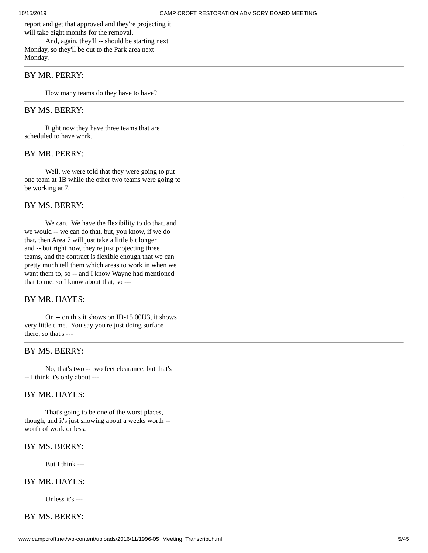report and get that approved and they're projecting it will take eight months for the removal.

And, again, they'll -- should be starting next Monday, so they'll be out to the Park area next Monday.

#### BY MR. PERRY:

How many teams do they have to have?

#### BY MS. BERRY:

Right now they have three teams that are scheduled to have work.

#### BY MR. PERRY:

Well, we were told that they were going to put one team at 1B while the other two teams were going to be working at 7.

#### BY MS. BERRY:

We can. We have the flexibility to do that, and we would -- we can do that, but, you know, if we do that, then Area 7 will just take a little bit longer and -- but right now, they're just projecting three teams, and the contract is flexible enough that we can pretty much tell them which areas to work in when we want them to, so -- and I know Wayne had mentioned that to me, so I know about that, so ---

# BY MR. HAYES:

On -- on this it shows on ID-15 00U3, it shows very little time. You say you're just doing surface there, so that's ---

# BY MS. BERRY:

No, that's two -- two feet clearance, but that's -- I think it's only about ---

#### BY MR. HAYES:

That's going to be one of the worst places, though, and it's just showing about a weeks worth - worth of work or less.

## BY MS. BERRY:

But I think ---

#### BY MR. HAYES:

Unless it's ---

## BY MS. BERRY: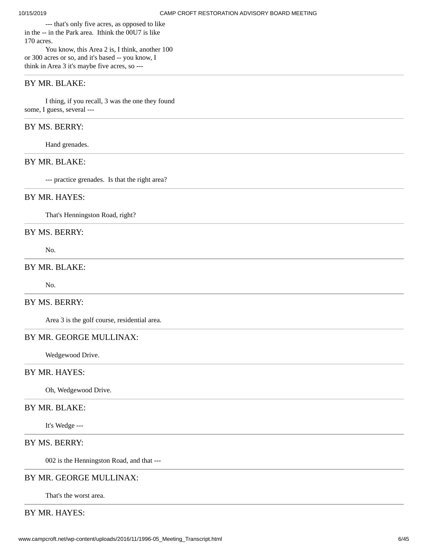--- that's only five acres, as opposed to like in the -- in the Park area. Ithink the 00U7 is like 170 acres.

You know, this Area 2 is, I think, another 100 or 300 acres or so, and it's based -- you know, I think in Area 3 it's maybe five acres, so ---

#### BY MR. BLAKE:

I thing, if you recall, 3 was the one they found some, I guess, several ---

# BY MS. BERRY:

Hand grenades.

# BY MR. BLAKE:

--- practice grenades. Is that the right area?

#### BY MR. HAYES:

That's Henningston Road, right?

#### BY MS. BERRY:

No.

## BY MR. BLAKE:

No.

# BY MS. BERRY:

Area 3 is the golf course, residential area.

# BY MR. GEORGE MULLINAX:

Wedgewood Drive.

# BY MR. HAYES:

Oh, Wedgewood Drive.

## BY MR. BLAKE:

It's Wedge ---

# BY MS. BERRY:

002 is the Henningston Road, and that ---

# BY MR. GEORGE MULLINAX:

That's the worst area.

## BY MR. HAYES: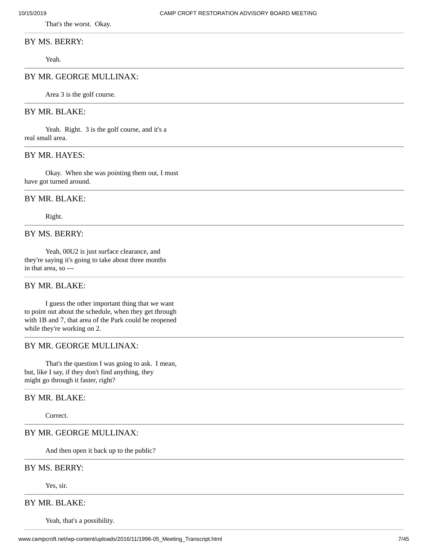That's the worst. Okay.

#### BY MS. BERRY:

Yeah.

# BY MR. GEORGE MULLINAX:

Area 3 is the golf course.

# BY MR. BLAKE:

Yeah. Right. 3 is the golf course, and it's a real small area.

#### BY MR. HAYES:

Okay. When she was pointing them out, I must have got turned around.

#### BY MR. BLAKE:

Right.

# BY MS. BERRY:

Yeah, 00U2 is just surface clearance, and they're saying it's going to take about three months in that area, so ---

#### BY MR. BLAKE:

I guess the other important thing that we want to point out about the schedule, when they get through with 1B and 7, that area of the Park could be reopened while they're working on 2.

# BY MR. GEORGE MULLINAX:

That's the question I was going to ask. I mean, but, like I say, if they don't find anything, they might go through it faster, right?

# BY MR. BLAKE:

Correct.

#### BY MR. GEORGE MULLINAX:

And then open it back up to the public?

#### BY MS. BERRY:

Yes, sir.

# BY MR. BLAKE:

Yeah, that's a possibility.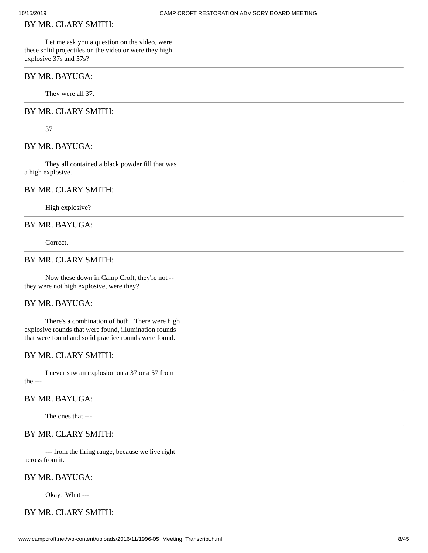## BY MR. CLARY SMITH:

Let me ask you a question on the video, were these solid projectiles on the video or were they high explosive 37s and 57s?

#### BY MR. BAYUGA:

They were all 37.

# BY MR. CLARY SMITH:

37.

#### BY MR. BAYUGA:

They all contained a black powder fill that was a high explosive.

#### BY MR. CLARY SMITH:

High explosive?

## BY MR. BAYUGA:

Correct.

#### BY MR. CLARY SMITH:

Now these down in Camp Croft, they're not - they were not high explosive, were they?

# BY MR. BAYUGA:

There's a combination of both. There were high explosive rounds that were found, illumination rounds that were found and solid practice rounds were found.

# BY MR. CLARY SMITH:

I never saw an explosion on a 37 or a 57 from the ---

#### BY MR. BAYUGA:

The ones that ---

## BY MR. CLARY SMITH:

--- from the firing range, because we live right across from it.

# BY MR. BAYUGA:

Okay. What ---

# BY MR. CLARY SMITH: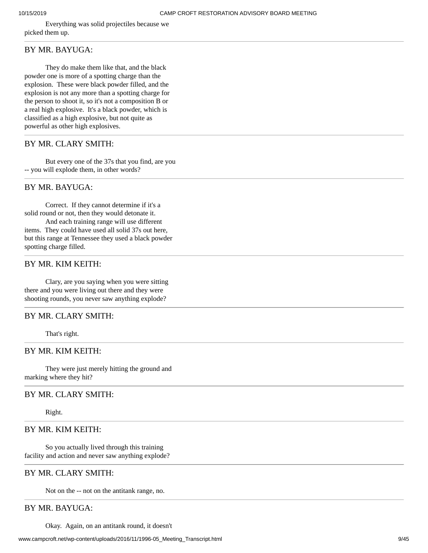Everything was solid projectiles because we picked them up.

# BY MR. BAYUGA:

They do make them like that, and the black powder one is more of a spotting charge than the explosion. These were black powder filled, and the explosion is not any more than a spotting charge for the person to shoot it, so it's not a composition B or a real high explosive. It's a black powder, which is classified as a high explosive, but not quite as powerful as other high explosives.

## BY MR. CLARY SMITH:

But every one of the 37s that you find, are you -- you will explode them, in other words?

## BY MR. BAYUGA:

Correct. If they cannot determine if it's a solid round or not, then they would detonate it.

And each training range will use different items. They could have used all solid 37s out here, but this range at Tennessee they used a black powder spotting charge filled.

# BY MR. KIM KEITH:

Clary, are you saying when you were sitting there and you were living out there and they were shooting rounds, you never saw anything explode?

# BY MR. CLARY SMITH:

That's right.

# BY MR. KIM KEITH:

They were just merely hitting the ground and marking where they hit?

#### BY MR. CLARY SMITH:

Right.

## BY MR. KIM KEITH:

So you actually lived through this training facility and action and never saw anything explode?

# BY MR. CLARY SMITH:

Not on the -- not on the antitank range, no.

#### BY MR. BAYUGA:

Okay. Again, on an antitank round, it doesn't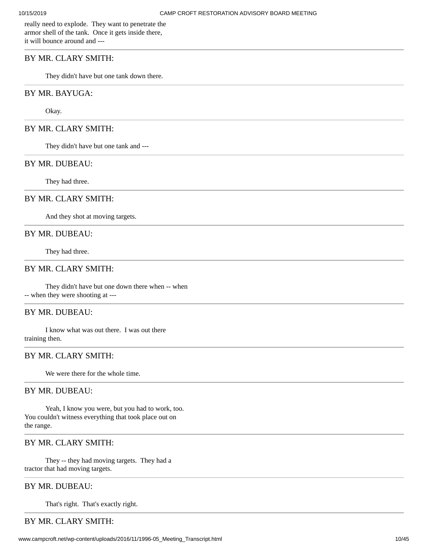really need to explode. They want to penetrate the armor shell of the tank. Once it gets inside there, it will bounce around and ---

# BY MR. CLARY SMITH:

They didn't have but one tank down there.

# BY MR. BAYUGA:

Okay.

#### BY MR. CLARY SMITH:

They didn't have but one tank and ---

#### BY MR. DUBEAU:

They had three.

#### BY MR. CLARY SMITH:

And they shot at moving targets.

## BY MR. DUBEAU:

They had three.

# BY MR. CLARY SMITH:

They didn't have but one down there when -- when -- when they were shooting at ---

#### BY MR. DUBEAU:

I know what was out there. I was out there training then.

#### BY MR. CLARY SMITH:

We were there for the whole time.

#### BY MR. DUBEAU:

Yeah, I know you were, but you had to work, too. You couldn't witness everything that took place out on the range.

# BY MR. CLARY SMITH:

They -- they had moving targets. They had a tractor that had moving targets.

## BY MR. DUBEAU:

That's right. That's exactly right.

# BY MR. CLARY SMITH: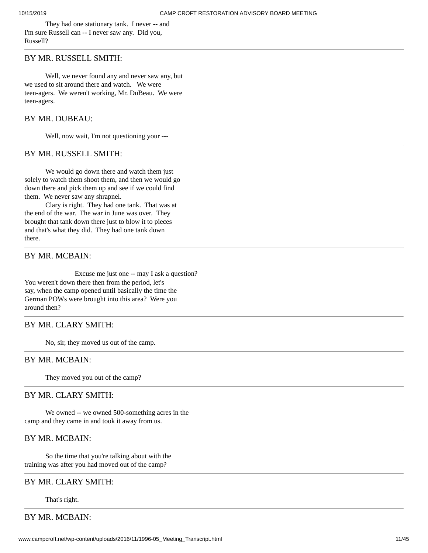They had one stationary tank. I never -- and I'm sure Russell can -- I never saw any. Did you, Russell?

#### BY MR. RUSSELL SMITH:

Well, we never found any and never saw any, but we used to sit around there and watch. We were teen-agers. We weren't working, Mr. DuBeau. We were teen-agers.

#### BY MR. DUBEAU:

Well, now wait, I'm not questioning your ---

#### BY MR. RUSSELL SMITH:

We would go down there and watch them just solely to watch them shoot them, and then we would go down there and pick them up and see if we could find them. We never saw any shrapnel.

Clary is right. They had one tank. That was at the end of the war. The war in June was over. They brought that tank down there just to blow it to pieces and that's what they did. They had one tank down there.

### BY MR. MCBAIN:

Excuse me just one -- may I ask a question? You weren't down there then from the period, let's say, when the camp opened until basically the time the German POWs were brought into this area? Were you around then?

## BY MR. CLARY SMITH:

No, sir, they moved us out of the camp.

#### BY MR. MCBAIN:

They moved you out of the camp?

#### BY MR. CLARY SMITH:

We owned -- we owned 500-something acres in the camp and they came in and took it away from us.

# BY MR. MCBAIN:

So the time that you're talking about with the training was after you had moved out of the camp?

#### BY MR. CLARY SMITH:

That's right.

# BY MR. MCBAIN: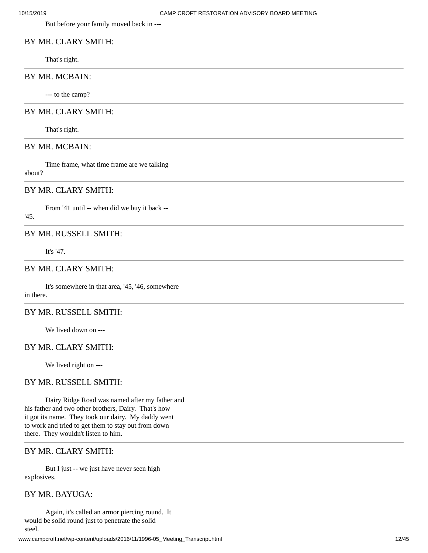But before your family moved back in ---

# BY MR. CLARY SMITH:

That's right.

# BY MR. MCBAIN:

--- to the camp?

#### BY MR. CLARY SMITH:

That's right.

#### BY MR. MCBAIN:

Time frame, what time frame are we talking about?

#### BY MR. CLARY SMITH:

From '41 until -- when did we buy it back --

'45.

#### BY MR. RUSSELL SMITH:

It's '47.

# BY MR. CLARY SMITH:

It's somewhere in that area, '45, '46, somewhere in there.

# BY MR. RUSSELL SMITH:

We lived down on ---

#### BY MR. CLARY SMITH:

We lived right on ---

#### BY MR. RUSSELL SMITH:

Dairy Ridge Road was named after my father and his father and two other brothers, Dairy. That's how it got its name. They took our dairy. My daddy went to work and tried to get them to stay out from down there. They wouldn't listen to him.

# BY MR. CLARY SMITH:

But I just -- we just have never seen high explosives.

## BY MR. BAYUGA:

Again, it's called an armor piercing round. It would be solid round just to penetrate the solid steel.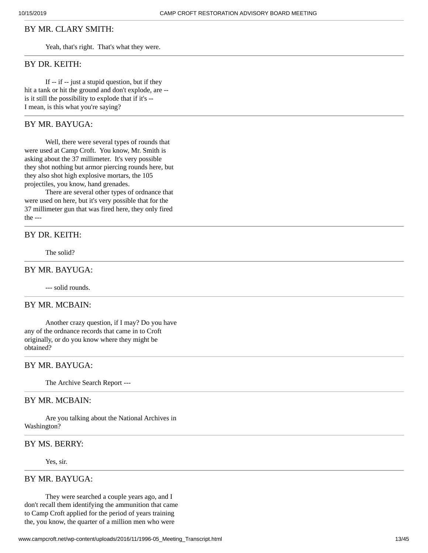## BY MR. CLARY SMITH:

Yeah, that's right. That's what they were.

#### BY DR. KEITH:

If -- if -- just a stupid question, but if they hit a tank or hit the ground and don't explode, are - is it still the possibility to explode that if it's -- I mean, is this what you're saying?

## BY MR. BAYUGA:

Well, there were several types of rounds that were used at Camp Croft. You know, Mr. Smith is asking about the 37 millimeter. It's very possible they shot nothing but armor piercing rounds here, but they also shot high explosive mortars, the 105 projectiles, you know, hand grenades.

There are several other types of ordnance that were used on here, but it's very possible that for the 37 millimeter gun that was fired here, they only fired the ---

#### BY DR. KEITH:

The solid?

# BY MR. BAYUGA:

--- solid rounds.

## BY MR. MCBAIN:

Another crazy question, if I may? Do you have any of the ordnance records that came in to Croft originally, or do you know where they might be obtained?

## BY MR. BAYUGA:

The Archive Search Report ---

#### BY MR. MCBAIN:

Are you talking about the National Archives in Washington?

#### BY MS. BERRY:

Yes, sir.

#### BY MR. BAYUGA:

They were searched a couple years ago, and I don't recall them identifying the ammunition that came to Camp Croft applied for the period of years training the, you know, the quarter of a million men who were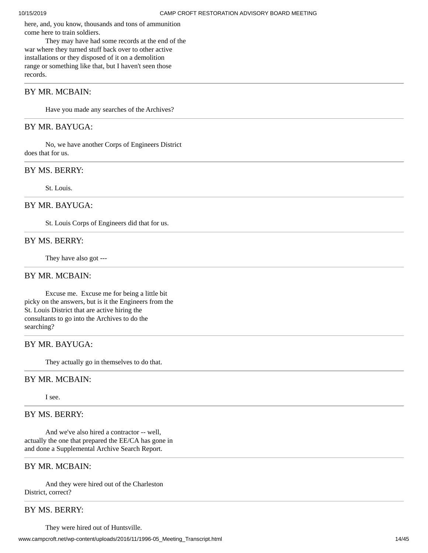here, and, you know, thousands and tons of ammunition come here to train soldiers.

They may have had some records at the end of the war where they turned stuff back over to other active installations or they disposed of it on a demolition range or something like that, but I haven't seen those records.

# BY MR. MCBAIN:

Have you made any searches of the Archives?

# BY MR. BAYUGA:

No, we have another Corps of Engineers District does that for us.

# BY MS. BERRY:

St. Louis.

#### BY MR. BAYUGA:

St. Louis Corps of Engineers did that for us.

#### BY MS. BERRY:

They have also got ---

#### BY MR. MCBAIN:

Excuse me. Excuse me for being a little bit picky on the answers, but is it the Engineers from the St. Louis District that are active hiring the consultants to go into the Archives to do the searching?

#### BY MR. BAYUGA:

They actually go in themselves to do that.

## BY MR. MCBAIN:

I see.

# BY MS. BERRY:

And we've also hired a contractor -- well, actually the one that prepared the EE/CA has gone in and done a Supplemental Archive Search Report.

# BY MR. MCBAIN:

And they were hired out of the Charleston District, correct?

# BY MS. BERRY:

They were hired out of Huntsville.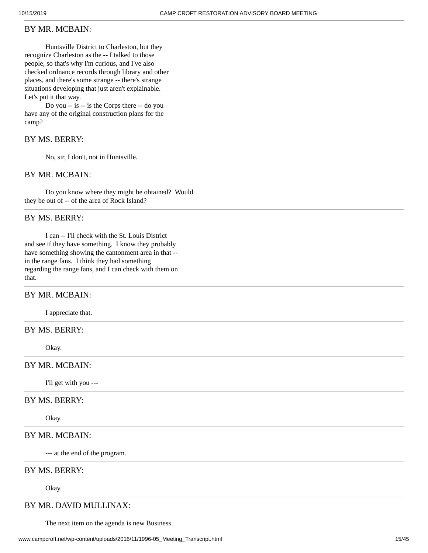#### BY MR. MCBAIN:

Huntsville District to Charleston, but they recognize Charleston as the -- I talked to those people, so that's why I'm curious, and I've also checked ordnance records through library and other places, and there's some strange -- there's strange situations developing that just aren't explainable. Let's put it that way.

Do you -- is -- is the Corps there -- do you have any of the original construction plans for the camp?

# BY MS. BERRY:

No, sir, I don't, not in Huntsville.

#### BY MR. MCBAIN:

Do you know where they might be obtained? Would they be out of -- of the area of Rock Island?

## BY MS. BERRY:

I can -- I'll check with the St. Louis District and see if they have something. I know they probably have something showing the cantonment area in that - in the range fans. I think they had something regarding the range fans, and I can check with them on that.

# BY MR. MCBAIN:

I appreciate that.

## BY MS. BERRY:

Okay.

#### BY MR. MCBAIN:

I'll get with you ---

# BY MS. BERRY:

Okay.

## BY MR. MCBAIN:

--- at the end of the program.

#### BY MS. BERRY:

Okay.

# BY MR. DAVID MULLINAX:

The next item on the agenda is new Business.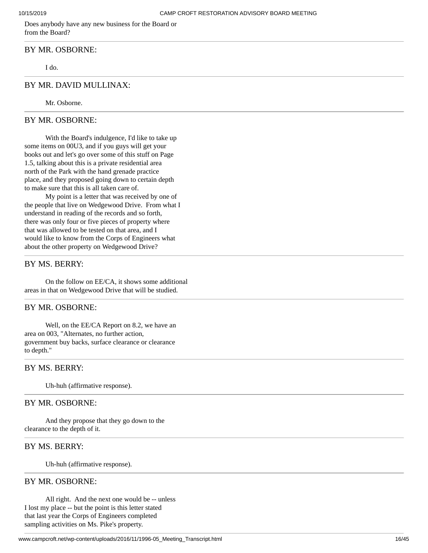Does anybody have any new business for the Board or from the Board?

#### BY MR. OSBORNE:

I do.

## BY MR. DAVID MULLINAX:

Mr. Osborne.

## BY MR. OSBORNE:

With the Board's indulgence, I'd like to take up some items on 00U3, and if you guys will get your books out and let's go over some of this stuff on Page 1.5, talking about this is a private residential area north of the Park with the hand grenade practice place, and they proposed going down to certain depth to make sure that this is all taken care of.

My point is a letter that was received by one of the people that live on Wedgewood Drive. From what I understand in reading of the records and so forth, there was only four or five pieces of property where that was allowed to be tested on that area, and I would like to know from the Corps of Engineers what about the other property on Wedgewood Drive?

## BY MS. BERRY:

On the follow on EE/CA, it shows some additional areas in that on Wedgewood Drive that will be studied.

#### BY MR. OSBORNE:

Well, on the EE/CA Report on 8.2, we have an area on 003, "Alternates, no further action, government buy backs, surface clearance or clearance to depth."

#### BY MS. BERRY:

Uh-huh (affirmative response).

## BY MR. OSBORNE:

And they propose that they go down to the clearance to the depth of it.

## BY MS. BERRY:

Uh-huh (affirmative response).

#### BY MR. OSBORNE:

All right. And the next one would be -- unless I lost my place -- but the point is this letter stated that last year the Corps of Engineers completed sampling activities on Ms. Pike's property.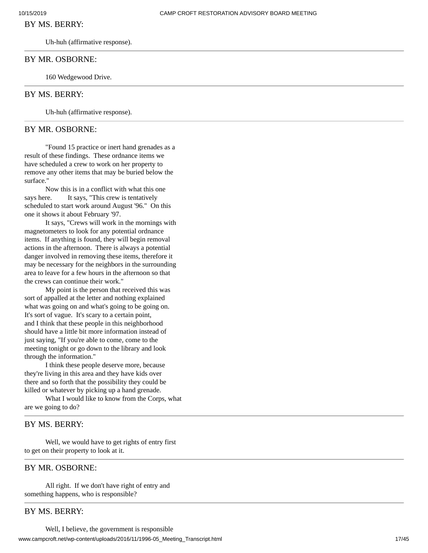#### BY MS. BERRY:

Uh-huh (affirmative response).

#### BY MR. OSBORNE:

160 Wedgewood Drive.

#### BY MS. BERRY:

Uh-huh (affirmative response).

#### BY MR. OSBORNE:

"Found 15 practice or inert hand grenades as a result of these findings. These ordnance items we have scheduled a crew to work on her property to remove any other items that may be buried below the surface."

Now this is in a conflict with what this one says here. It says, "This crew is tentatively scheduled to start work around August '96." On this one it shows it about February '97.

It says, "Crews will work in the mornings with magnetometers to look for any potential ordnance items. If anything is found, they will begin removal actions in the afternoon. There is always a potential danger involved in removing these items, therefore it may be necessary for the neighbors in the surrounding area to leave for a few hours in the afternoon so that the crews can continue their work."

My point is the person that received this was sort of appalled at the letter and nothing explained what was going on and what's going to be going on. It's sort of vague. It's scary to a certain point, and I think that these people in this neighborhood should have a little bit more information instead of just saying, "If you're able to come, come to the meeting tonight or go down to the library and look through the information."

I think these people deserve more, because they're living in this area and they have kids over there and so forth that the possibility they could be killed or whatever by picking up a hand grenade.

What I would like to know from the Corps, what are we going to do?

## BY MS. BERRY:

Well, we would have to get rights of entry first to get on their property to look at it.

## BY MR. OSBORNE:

All right. If we don't have right of entry and something happens, who is responsible?

# BY MS. BERRY: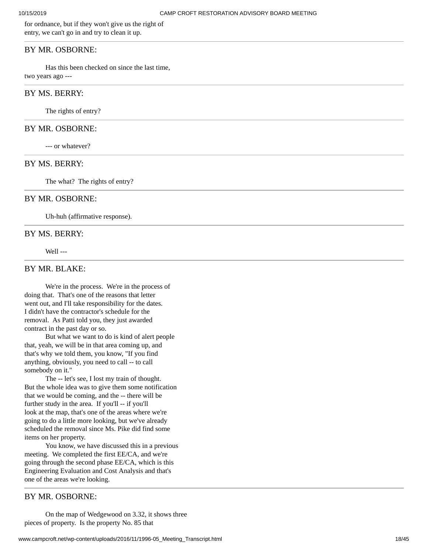for ordnance, but if they won't give us the right of entry, we can't go in and try to clean it up.

#### BY MR. OSBORNE:

Has this been checked on since the last time, two years ago ---

# BY MS. BERRY:

The rights of entry?

#### BY MR. OSBORNE:

--- or whatever?

#### BY MS. BERRY:

The what? The rights of entry?

#### BY MR. OSBORNE:

Uh-huh (affirmative response).

#### BY MS. BERRY:

Well ---

# BY MR. BLAKE:

We're in the process. We're in the process of doing that. That's one of the reasons that letter went out, and I'll take responsibility for the dates. I didn't have the contractor's schedule for the removal. As Patti told you, they just awarded contract in the past day or so.

But what we want to do is kind of alert people that, yeah, we will be in that area coming up, and that's why we told them, you know, "If you find anything, obviously, you need to call -- to call somebody on it."

The -- let's see, I lost my train of thought. But the whole idea was to give them some notification that we would be coming, and the -- there will be further study in the area. If you'll -- if you'll look at the map, that's one of the areas where we're going to do a little more looking, but we've already scheduled the removal since Ms. Pike did find some items on her property.

You know, we have discussed this in a previous meeting. We completed the first EE/CA, and we're going through the second phase EE/CA, which is this Engineering Evaluation and Cost Analysis and that's one of the areas we're looking.

## BY MR. OSBORNE:

On the map of Wedgewood on 3.32, it shows three pieces of property. Is the property No. 85 that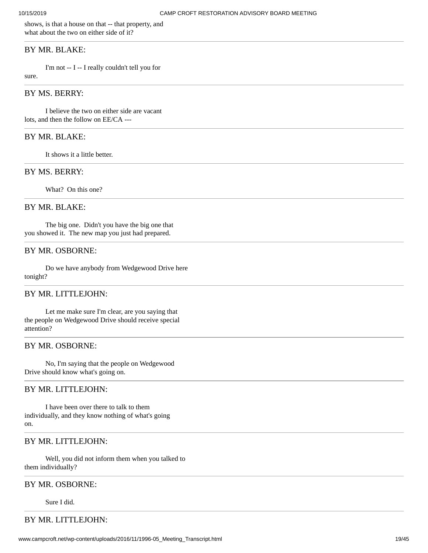shows, is that a house on that -- that property, and what about the two on either side of it?

#### BY MR. BLAKE:

I'm not -- I -- I really couldn't tell you for

sure.

# BY MS. BERRY:

I believe the two on either side are vacant lots, and then the follow on EE/CA ---

#### BY MR. BLAKE:

It shows it a little better.

#### BY MS. BERRY:

What? On this one?

#### BY MR. BLAKE:

The big one. Didn't you have the big one that you showed it. The new map you just had prepared.

#### BY MR. OSBORNE:

Do we have anybody from Wedgewood Drive here tonight?

#### BY MR. LITTLEJOHN:

Let me make sure I'm clear, are you saying that the people on Wedgewood Drive should receive special attention?

#### BY MR. OSBORNE:

No, I'm saying that the people on Wedgewood Drive should know what's going on.

#### BY MR. LITTLEJOHN:

I have been over there to talk to them individually, and they know nothing of what's going on.

#### BY MR. LITTLEJOHN:

Well, you did not inform them when you talked to them individually?

#### BY MR. OSBORNE:

Sure I did.

# BY MR. LITTLEJOHN: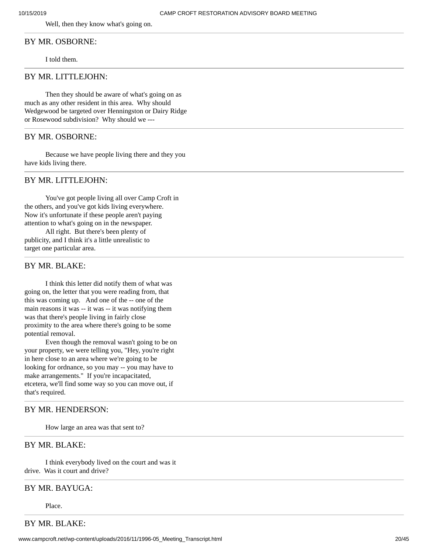Well, then they know what's going on.

# BY MR. OSBORNE:

I told them.

# BY MR. LITTLEJOHN:

Then they should be aware of what's going on as much as any other resident in this area. Why should Wedgewood be targeted over Henningston or Dairy Ridge or Rosewood subdivision? Why should we ---

#### BY MR. OSBORNE:

Because we have people living there and they you have kids living there.

# BY MR. LITTLEJOHN:

You've got people living all over Camp Croft in the others, and you've got kids living everywhere. Now it's unfortunate if these people aren't paying attention to what's going on in the newspaper.

All right. But there's been plenty of publicity, and I think it's a little unrealistic to target one particular area.

## BY MR. BLAKE:

I think this letter did notify them of what was going on, the letter that you were reading from, that this was coming up. And one of the -- one of the main reasons it was -- it was -- it was notifying them was that there's people living in fairly close proximity to the area where there's going to be some potential removal.

Even though the removal wasn't going to be on your property, we were telling you, "Hey, you're right in here close to an area where we're going to be looking for ordnance, so you may -- you may have to make arrangements." If you're incapacitated, etcetera, we'll find some way so you can move out, if that's required.

#### BY MR. HENDERSON:

How large an area was that sent to?

## BY MR. BLAKE:

I think everybody lived on the court and was it drive. Was it court and drive?

#### BY MR. BAYUGA:

Place.

BY MR. BLAKE: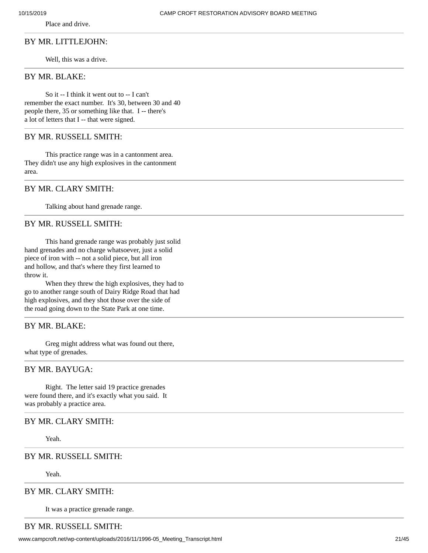Place and drive.

#### BY MR. LITTLEJOHN:

Well, this was a drive.

# BY MR. BLAKE:

So it -- I think it went out to -- I can't remember the exact number. It's 30, between 30 and 40 people there, 35 or something like that. I -- there's a lot of letters that I -- that were signed.

#### BY MR. RUSSELL SMITH:

This practice range was in a cantonment area. They didn't use any high explosives in the cantonment area.

# BY MR. CLARY SMITH:

Talking about hand grenade range.

# BY MR. RUSSELL SMITH:

This hand grenade range was probably just solid hand grenades and no charge whatsoever, just a solid piece of iron with -- not a solid piece, but all iron and hollow, and that's where they first learned to throw it.

When they threw the high explosives, they had to go to another range south of Dairy Ridge Road that had high explosives, and they shot those over the side of the road going down to the State Park at one time.

## BY MR. BLAKE:

Greg might address what was found out there, what type of grenades.

## BY MR. BAYUGA:

Right. The letter said 19 practice grenades were found there, and it's exactly what you said. It was probably a practice area.

## BY MR. CLARY SMITH:

Yeah.

## BY MR. RUSSELL SMITH:

Yeah.

## BY MR. CLARY SMITH:

It was a practice grenade range.

# BY MR. RUSSELL SMITH: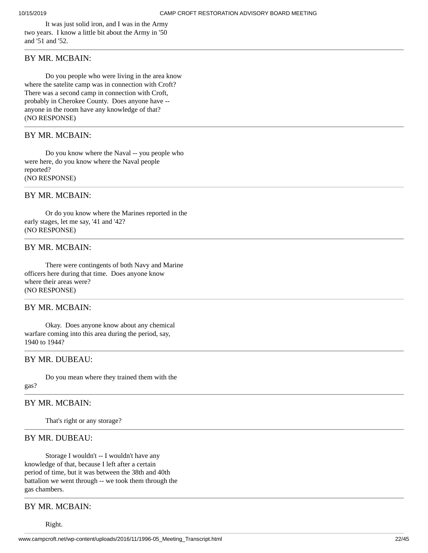It was just solid iron, and I was in the Army two years. I know a little bit about the Army in '50 and '51 and '52.

# BY MR. MCBAIN:

Do you people who were living in the area know where the satelite camp was in connection with Croft? There was a second camp in connection with Croft, probably in Cherokee County. Does anyone have - anyone in the room have any knowledge of that? (NO RESPONSE)

# BY MR. MCBAIN:

Do you know where the Naval -- you people who were here, do you know where the Naval people reported? (NO RESPONSE)

# BY MR. MCBAIN:

Or do you know where the Marines reported in the early stages, let me say, '41 and '42? (NO RESPONSE)

#### BY MR. MCBAIN:

There were contingents of both Navy and Marine officers here during that time. Does anyone know where their areas were? (NO RESPONSE)

#### BY MR. MCBAIN:

Okay. Does anyone know about any chemical warfare coming into this area during the period, say, 1940 to 1944?

#### BY MR. DUBEAU:

Do you mean where they trained them with the

#### gas?

# BY MR. MCBAIN:

That's right or any storage?

#### BY MR. DUBEAU:

Storage I wouldn't -- I wouldn't have any knowledge of that, because I left after a certain period of time, but it was between the 38th and 40th battalion we went through -- we took them through the gas chambers.

# BY MR. MCBAIN:

Right.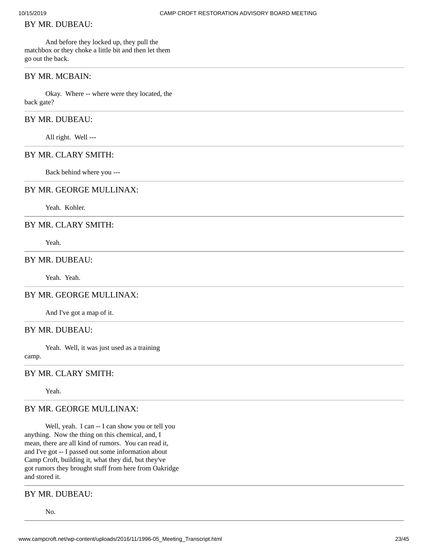## BY MR. DUBEAU:

And before they locked up, they pull the matchbox or they choke a little bit and then let them go out the back.

## BY MR. MCBAIN:

Okay. Where -- where were they located, the back gate?

# BY MR. DUBEAU:

All right. Well ---

# BY MR. CLARY SMITH:

Back behind where you ---

#### BY MR. GEORGE MULLINAX:

Yeah. Kohler.

## BY MR. CLARY SMITH:

Yeah.

#### BY MR. DUBEAU:

Yeah. Yeah.

#### BY MR. GEORGE MULLINAX:

And I've got a map of it.

# BY MR. DUBEAU:

Yeah. Well, it was just used as a training

camp.

# BY MR. CLARY SMITH:

Yeah.

# BY MR. GEORGE MULLINAX:

Well, yeah. I can -- I can show you or tell you anything. Now the thing on this chemical, and, I mean, there are all kind of rumors. You can read it, and I've got -- I passed out some information about Camp Croft, building it, what they did, but they've got rumors they brought stuff from here from Oakridge and stored it.

## BY MR. DUBEAU:

No.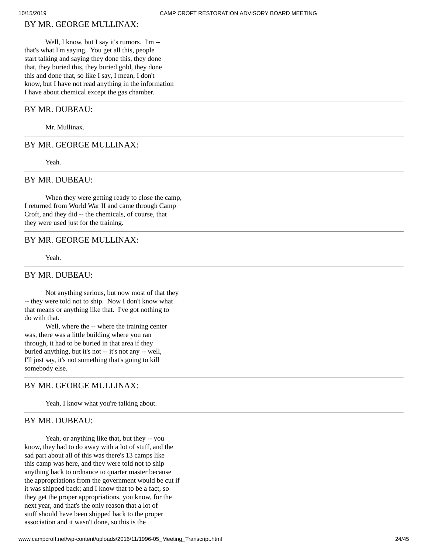# BY MR. GEORGE MULLINAX:

Well, I know, but I say it's rumors. I'm - that's what I'm saying. You get all this, people start talking and saying they done this, they done that, they buried this, they buried gold, they done this and done that, so like I say, I mean, I don't know, but I have not read anything in the information I have about chemical except the gas chamber.

## BY MR. DUBEAU:

Mr. Mullinax.

#### BY MR. GEORGE MULLINAX:

Yeah.

## BY MR. DUBEAU:

When they were getting ready to close the camp, I returned from World War II and came through Camp Croft, and they did -- the chemicals, of course, that they were used just for the training.

## BY MR. GEORGE MULLINAX:

Yeah.

#### BY MR. DUBEAU:

Not anything serious, but now most of that they -- they were told not to ship. Now I don't know what that means or anything like that. I've got nothing to do with that.

Well, where the -- where the training center was, there was a little building where you ran through, it had to be buried in that area if they buried anything, but it's not -- it's not any -- well, I'll just say, it's not something that's going to kill somebody else.

## BY MR. GEORGE MULLINAX:

Yeah, I know what you're talking about.

#### BY MR. DUBEAU:

Yeah, or anything like that, but they -- you know, they had to do away with a lot of stuff, and the sad part about all of this was there's 13 camps like this camp was here, and they were told not to ship anything back to ordnance to quarter master because the appropriations from the government would be cut if it was shipped back; and I know that to be a fact, so they get the proper appropriations, you know, for the next year, and that's the only reason that a lot of stuff should have been shipped back to the proper association and it wasn't done, so this is the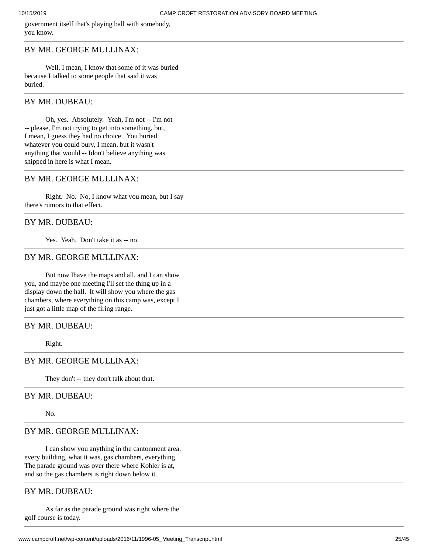government itself that's playing ball with somebody, you know.

#### BY MR. GEORGE MULLINAX:

Well, I mean, I know that some of it was buried because I talked to some people that said it was buried.

#### BY MR. DUBEAU:

Oh, yes. Absolutely. Yeah, I'm not -- I'm not -- please, I'm not trying to get into something, but, I mean, I guess they had no choice. You buried whatever you could bury, I mean, but it wasn't anything that would -- Idon't believe anything was shipped in here is what I mean.

## BY MR. GEORGE MULLINAX:

Right. No. No, I know what you mean, but I say there's rumors to that effect.

## BY MR. DUBEAU:

Yes. Yeah. Don't take it as -- no.

# BY MR. GEORGE MULLINAX:

But now Ihave the maps and all, and I can show you, and maybe one meeting I'll set the thing up in a display down the hall. It will show you where the gas chambers, where everything on this camp was, except I just got a little map of the firing range.

# BY MR. DUBEAU:

Right.

#### BY MR. GEORGE MULLINAX:

They don't -- they don't talk about that.

#### BY MR. DUBEAU:

No.

# BY MR. GEORGE MULLINAX:

I can show you anything in the cantonment area, every building, what it was, gas chambers, everything. The parade ground was over there where Kohler is at, and so the gas chambers is right down below it.

# BY MR. DUBEAU:

As far as the parade ground was right where the golf course is today.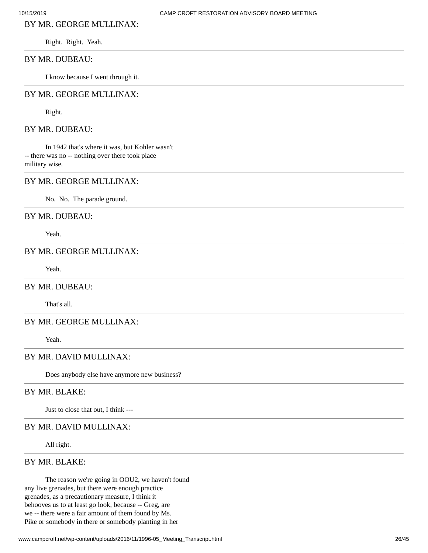# BY MR. GEORGE MULLINAX:

Right. Right. Yeah.

#### BY MR. DUBEAU:

I know because I went through it.

#### BY MR. GEORGE MULLINAX:

Right.

#### BY MR. DUBEAU:

In 1942 that's where it was, but Kohler wasn't -- there was no -- nothing over there took place military wise.

#### BY MR. GEORGE MULLINAX:

No. No. The parade ground.

## BY MR. DUBEAU:

Yeah.

# BY MR. GEORGE MULLINAX:

Yeah.

#### BY MR. DUBEAU:

That's all.

## BY MR. GEORGE MULLINAX:

Yeah.

# BY MR. DAVID MULLINAX:

Does anybody else have anymore new business?

# BY MR. BLAKE:

Just to close that out, I think ---

## BY MR. DAVID MULLINAX:

All right.

# BY MR. BLAKE:

The reason we're going in OOU2, we haven't found any live grenades, but there were enough practice grenades, as a precautionary measure, I think it behooves us to at least go look, because -- Greg, are we -- there were a fair amount of them found by Ms. Pike or somebody in there or somebody planting in her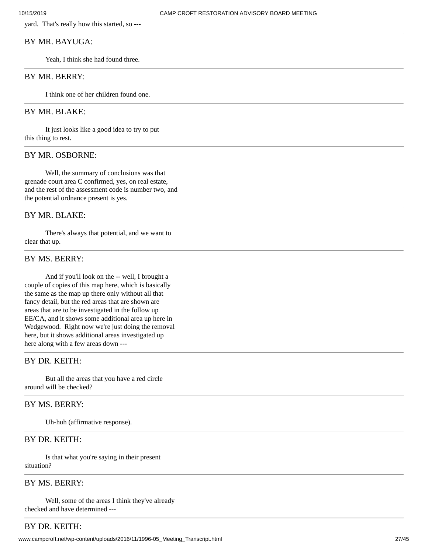yard. That's really how this started, so ---

## BY MR. BAYUGA:

Yeah, I think she had found three.

## BY MR. BERRY:

I think one of her children found one.

# BY MR. BLAKE:

It just looks like a good idea to try to put this thing to rest.

## BY MR. OSBORNE:

Well, the summary of conclusions was that grenade court area C confirmed, yes, on real estate, and the rest of the assessment code is number two, and the potential ordnance present is yes.

## BY MR. BLAKE:

There's always that potential, and we want to clear that up.

#### BY MS. BERRY:

And if you'll look on the -- well, I brought a couple of copies of this map here, which is basically the same as the map up there only without all that fancy detail, but the red areas that are shown are areas that are to be investigated in the follow up EE/CA, and it shows some additional area up here in Wedgewood. Right now we're just doing the removal here, but it shows additional areas investigated up here along with a few areas down ---

# BY DR. KEITH:

But all the areas that you have a red circle around will be checked?

## BY MS. BERRY:

Uh-huh (affirmative response).

## BY DR. KEITH:

Is that what you're saying in their present situation?

# BY MS. BERRY:

Well, some of the areas I think they've already checked and have determined ---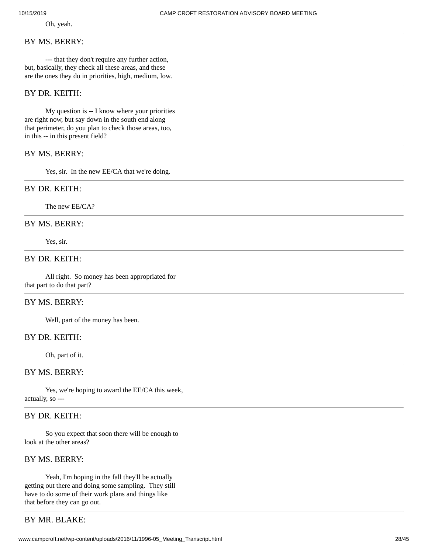Oh, yeah.

#### BY MS. BERRY:

--- that they don't require any further action, but, basically, they check all these areas, and these are the ones they do in priorities, high, medium, low.

# BY DR. KEITH:

My question is -- I know where your priorities are right now, but say down in the south end along that perimeter, do you plan to check those areas, too, in this -- in this present field?

# BY MS. BERRY:

Yes, sir. In the new EE/CA that we're doing.

#### BY DR. KEITH:

The new EE/CA?

# BY MS. BERRY:

Yes, sir.

# BY DR. KEITH:

All right. So money has been appropriated for that part to do that part?

# BY MS. BERRY:

Well, part of the money has been.

# BY DR. KEITH:

Oh, part of it.

# BY MS. BERRY:

Yes, we're hoping to award the EE/CA this week, actually, so ---

# BY DR. KEITH:

So you expect that soon there will be enough to look at the other areas?

#### BY MS. BERRY:

Yeah, I'm hoping in the fall they'll be actually getting out there and doing some sampling. They still have to do some of their work plans and things like that before they can go out.

# BY MR. BLAKE: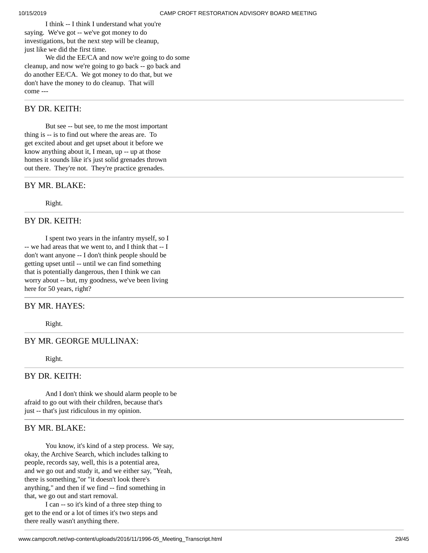I think -- I think I understand what you're saying. We've got -- we've got money to do investigations, but the next step will be cleanup, just like we did the first time. We did the EE/CA and now we're going to do some

cleanup, and now we're going to go back -- go back and do another EE/CA. We got money to do that, but we don't have the money to do cleanup. That will come ---

# BY DR. KEITH:

But see -- but see, to me the most important thing is -- is to find out where the areas are. To get excited about and get upset about it before we know anything about it, I mean, up -- up at those homes it sounds like it's just solid grenades thrown out there. They're not. They're practice grenades.

# BY MR. BLAKE:

Right.

# BY DR. KEITH:

I spent two years in the infantry myself, so I -- we had areas that we went to, and I think that -- I don't want anyone -- I don't think people should be getting upset until -- until we can find something that is potentially dangerous, then I think we can worry about -- but, my goodness, we've been living here for 50 years, right?

## BY MR. HAYES:

Right.

## BY MR. GEORGE MULLINAX:

Right.

# BY DR. KEITH:

And I don't think we should alarm people to be afraid to go out with their children, because that's just -- that's just ridiculous in my opinion.

# BY MR. BLAKE:

You know, it's kind of a step process. We say, okay, the Archive Search, which includes talking to people, records say, well, this is a potential area, and we go out and study it, and we either say, "Yeah, there is something,"or "it doesn't look there's anything," and then if we find -- find something in that, we go out and start removal.

I can -- so it's kind of a three step thing to get to the end or a lot of times it's two steps and there really wasn't anything there.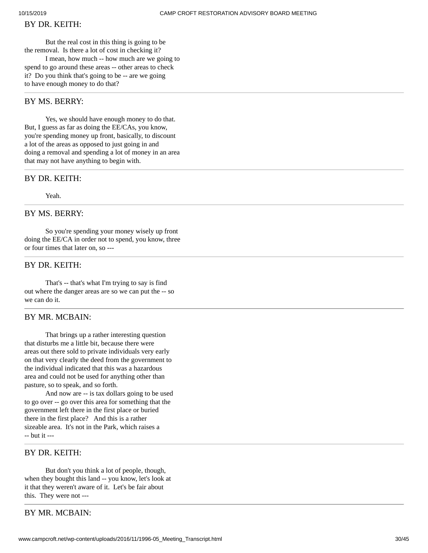# BY DR. KEITH:

But the real cost in this thing is going to be the removal. Is there a lot of cost in checking it? I mean, how much -- how much are we going to spend to go around these areas -- other areas to check

it? Do you think that's going to be -- are we going to have enough money to do that?

## BY MS. BERRY:

Yes, we should have enough money to do that. But, I guess as far as doing the EE/CAs, you know, you're spending money up front, basically, to discount a lot of the areas as opposed to just going in and doing a removal and spending a lot of money in an area that may not have anything to begin with.

# BY DR. KEITH:

Yeah.

# BY MS. BERRY:

So you're spending your money wisely up front doing the EE/CA in order not to spend, you know, three or four times that later on, so ---

# BY DR. KEITH:

That's -- that's what I'm trying to say is find out where the danger areas are so we can put the -- so we can do it.

#### BY MR. MCBAIN:

That brings up a rather interesting question that disturbs me a little bit, because there were areas out there sold to private individuals very early on that very clearly the deed from the government to the individual indicated that this was a hazardous area and could not be used for anything other than pasture, so to speak, and so forth.

And now are -- is tax dollars going to be used to go over -- go over this area for something that the government left there in the first place or buried there in the first place? And this is a rather sizeable area. It's not in the Park, which raises a -- but it ---

# BY DR. KEITH:

But don't you think a lot of people, though, when they bought this land -- you know, let's look at it that they weren't aware of it. Let's be fair about this. They were not ---

## BY MR. MCBAIN: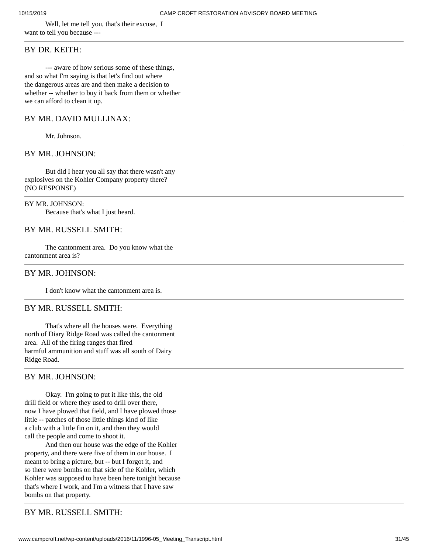Well, let me tell you, that's their excuse, I want to tell you because ---

## BY DR. KEITH:

--- aware of how serious some of these things, and so what I'm saying is that let's find out where the dangerous areas are and then make a decision to whether -- whether to buy it back from them or whether we can afford to clean it up.

#### BY MR. DAVID MULLINAX:

Mr. Johnson.

#### BY MR. JOHNSON:

But did I hear you all say that there wasn't any explosives on the Kohler Company property there? (NO RESPONSE)

# BY MR. JOHNSON:

Because that's what I just heard.

# BY MR. RUSSELL SMITH:

The cantonment area. Do you know what the cantonment area is?

## BY MR. JOHNSON:

I don't know what the cantonment area is.

#### BY MR. RUSSELL SMITH:

That's where all the houses were. Everything north of Diary Ridge Road was called the cantonment area. All of the firing ranges that fired harmful ammunition and stuff was all south of Dairy Ridge Road.

## BY MR. JOHNSON:

Okay. I'm going to put it like this, the old drill field or where they used to drill over there, now I have plowed that field, and I have plowed those little -- patches of those little things kind of like a club with a little fin on it, and then they would call the people and come to shoot it.

And then our house was the edge of the Kohler property, and there were five of them in our house. I meant to bring a picture, but -- but I forgot it, and so there were bombs on that side of the Kohler, which Kohler was supposed to have been here tonight because that's where I work, and I'm a witness that I have saw bombs on that property.

# BY MR. RUSSELL SMITH: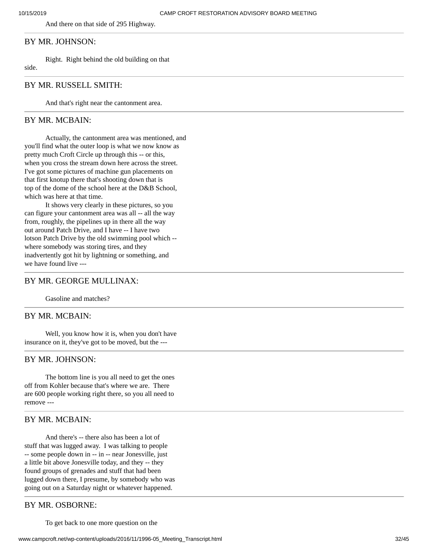And there on that side of 295 Highway.

# BY MR. JOHNSON:

Right. Right behind the old building on that

side.

#### BY MR. RUSSELL SMITH:

And that's right near the cantonment area.

## BY MR. MCBAIN:

Actually, the cantonment area was mentioned, and you'll find what the outer loop is what we now know as pretty much Croft Circle up through this -- or this, when you cross the stream down here across the street. I've got some pictures of machine gun placements on that first knotup there that's shooting down that is top of the dome of the school here at the D&B School, which was here at that time.

It shows very clearly in these pictures, so you can figure your cantonment area was all -- all the way from, roughly, the pipelines up in there all the way out around Patch Drive, and I have -- I have two lotson Patch Drive by the old swimming pool which - where somebody was storing tires, and they inadvertently got hit by lightning or something, and we have found live ---

## BY MR. GEORGE MULLINAX:

Gasoline and matches?

## BY MR. MCBAIN:

Well, you know how it is, when you don't have insurance on it, they've got to be moved, but the ---

#### BY MR. JOHNSON:

The bottom line is you all need to get the ones off from Kohler because that's where we are. There are 600 people working right there, so you all need to remove ---

# BY MR. MCBAIN:

And there's -- there also has been a lot of stuff that was lugged away. I was talking to people -- some people down in -- in -- near Jonesville, just a little bit above Jonesville today, and they -- they found groups of grenades and stuff that had been lugged down there, I presume, by somebody who was going out on a Saturday night or whatever happened.

#### BY MR. OSBORNE:

To get back to one more question on the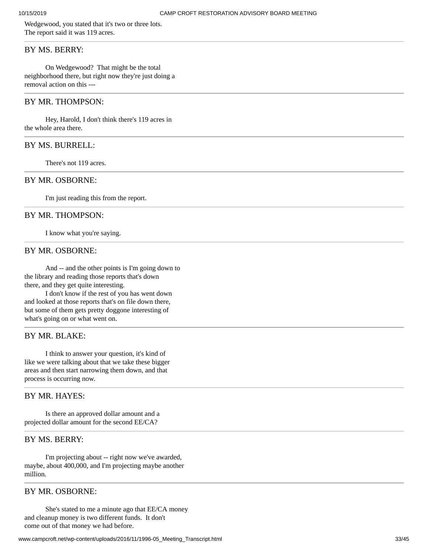Wedgewood, you stated that it's two or three lots. The report said it was 119 acres.

## BY MS. BERRY:

On Wedgewood? That might be the total neighborhood there, but right now they're just doing a removal action on this ---

## BY MR. THOMPSON:

Hey, Harold, I don't think there's 119 acres in the whole area there.

#### BY MS. BURRELL:

There's not 119 acres.

# BY MR. OSBORNE:

I'm just reading this from the report.

#### BY MR. THOMPSON:

I know what you're saying.

#### BY MR. OSBORNE:

And -- and the other points is I'm going down to the library and reading those reports that's down there, and they get quite interesting.

I don't know if the rest of you has went down and looked at those reports that's on file down there, but some of them gets pretty doggone interesting of what's going on or what went on.

## BY MR. BLAKE:

I think to answer your question, it's kind of like we were talking about that we take these bigger areas and then start narrowing them down, and that process is occurring now.

## BY MR. HAYES:

Is there an approved dollar amount and a projected dollar amount for the second EE/CA?

#### BY MS. BERRY:

I'm projecting about -- right now we've awarded, maybe, about 400,000, and I'm projecting maybe another million.

## BY MR. OSBORNE:

She's stated to me a minute ago that EE/CA money and cleanup money is two different funds. It don't come out of that money we had before.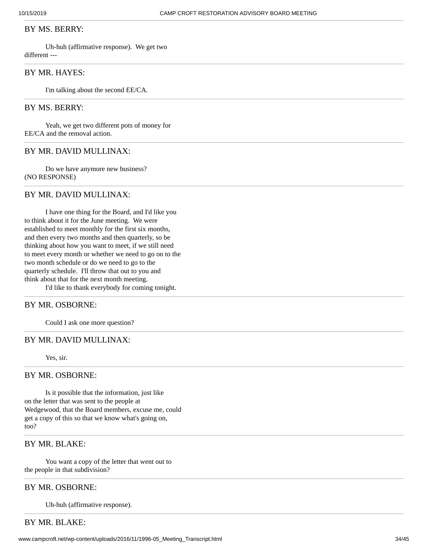#### BY MS. BERRY:

Uh-huh (affirmative response). We get two different ---

# BY MR. HAYES:

I'm talking about the second EE/CA.

## BY MS. BERRY:

Yeah, we get two different pots of money for EE/CA and the removal action.

# BY MR. DAVID MULLINAX:

Do we have anymore new business? (NO RESPONSE)

#### BY MR. DAVID MULLINAX:

I have one thing for the Board, and I'd like you to think about it for the June meeting. We were established to meet monthly for the first six months, and then every two months and then quarterly, so be thinking about how you want to meet, if we still need to meet every month or whether we need to go on to the two month schedule or do we need to go to the quarterly schedule. I'll throw that out to you and think about that for the next month meeting.

I'd like to thank everybody for coming tonight.

## BY MR. OSBORNE:

Could I ask one more question?

## BY MR. DAVID MULLINAX:

Yes, sir.

#### BY MR. OSBORNE:

Is it possible that the information, just like on the letter that was sent to the people at Wedgewood, that the Board members, excuse me, could get a copy of this so that we know what's going on, too?

## BY MR. BLAKE:

You want a copy of the letter that went out to the people in that subdivision?

#### BY MR. OSBORNE:

Uh-huh (affirmative response).

BY MR. BLAKE: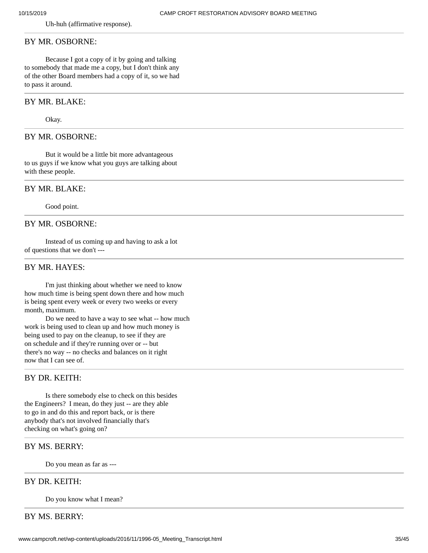Uh-huh (affirmative response).

#### BY MR. OSBORNE:

Because I got a copy of it by going and talking to somebody that made me a copy, but I don't think any of the other Board members had a copy of it, so we had to pass it around.

#### BY MR. BLAKE:

Okay.

#### BY MR. OSBORNE:

But it would be a little bit more advantageous to us guys if we know what you guys are talking about with these people.

#### BY MR. BLAKE:

Good point.

## BY MR. OSBORNE:

Instead of us coming up and having to ask a lot of questions that we don't ---

## BY MR. HAYES:

I'm just thinking about whether we need to know how much time is being spent down there and how much is being spent every week or every two weeks or every month, maximum.

Do we need to have a way to see what -- how much work is being used to clean up and how much money is being used to pay on the cleanup, to see if they are on schedule and if they're running over or -- but there's no way -- no checks and balances on it right now that I can see of.

# BY DR. KEITH:

Is there somebody else to check on this besides the Engineers? I mean, do they just -- are they able to go in and do this and report back, or is there anybody that's not involved financially that's checking on what's going on?

## BY MS. BERRY:

Do you mean as far as ---

#### BY DR. KEITH:

Do you know what I mean?

# BY MS. BERRY: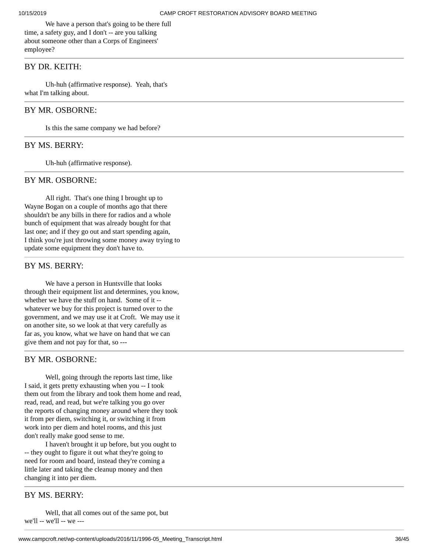We have a person that's going to be there full time, a safety guy, and I don't -- are you talking about someone other than a Corps of Engineers' employee?

## BY DR. KEITH:

Uh-huh (affirmative response). Yeah, that's what I'm talking about.

#### BY MR. OSBORNE:

Is this the same company we had before?

#### BY MS. BERRY:

Uh-huh (affirmative response).

#### BY MR. OSBORNE:

All right. That's one thing I brought up to Wayne Bogan on a couple of months ago that there shouldn't be any bills in there for radios and a whole bunch of equipment that was already bought for that last one; and if they go out and start spending again, I think you're just throwing some money away trying to update some equipment they don't have to.

## BY MS. BERRY:

We have a person in Huntsville that looks through their equipment list and determines, you know, whether we have the stuff on hand. Some of it - whatever we buy for this project is turned over to the government, and we may use it at Croft. We may use it on another site, so we look at that very carefully as far as, you know, what we have on hand that we can give them and not pay for that, so ---

#### BY MR. OSBORNE:

Well, going through the reports last time, like I said, it gets pretty exhausting when you -- I took them out from the library and took them home and read, read, read, and read, but we're talking you go over the reports of changing money around where they took it from per diem, switching it, or switching it from work into per diem and hotel rooms, and this just don't really make good sense to me.

I haven't brought it up before, but you ought to -- they ought to figure it out what they're going to need for room and board, instead they're coming a little later and taking the cleanup money and then changing it into per diem.

## BY MS. BERRY:

Well, that all comes out of the same pot, but we'll -- we'll -- we ---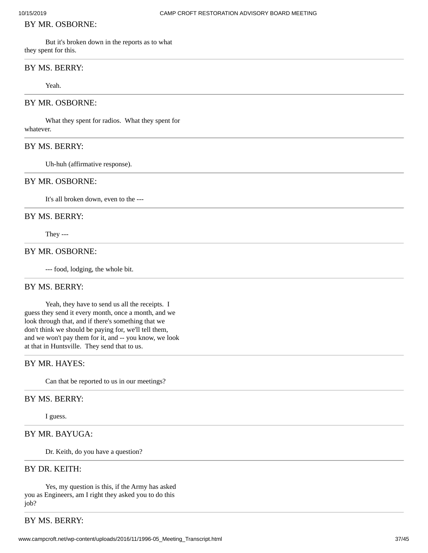#### BY MR. OSBORNE:

But it's broken down in the reports as to what they spent for this.

#### BY MS. BERRY:

Yeah.

#### BY MR. OSBORNE:

What they spent for radios. What they spent for whatever.

# BY MS. BERRY:

Uh-huh (affirmative response).

# BY MR. OSBORNE:

It's all broken down, even to the ---

#### BY MS. BERRY:

They ---

#### BY MR. OSBORNE:

--- food, lodging, the whole bit.

#### BY MS. BERRY:

Yeah, they have to send us all the receipts. I guess they send it every month, once a month, and we look through that, and if there's something that we don't think we should be paying for, we'll tell them, and we won't pay them for it, and -- you know, we look at that in Huntsville. They send that to us.

# BY MR. HAYES:

Can that be reported to us in our meetings?

#### BY MS. BERRY:

I guess.

# BY MR. BAYUGA:

Dr. Keith, do you have a question?

# BY DR. KEITH:

Yes, my question is this, if the Army has asked you as Engineers, am I right they asked you to do this job?

# BY MS. BERRY: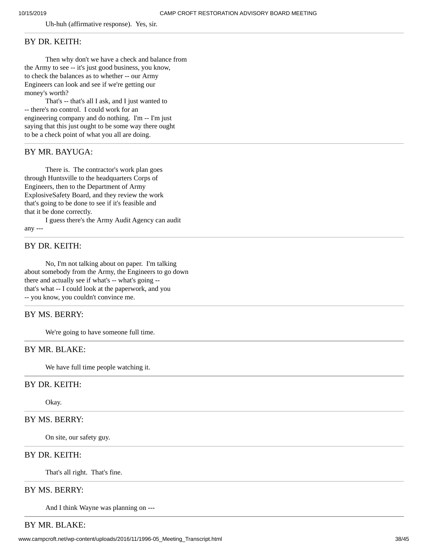Uh-huh (affirmative response). Yes, sir.

## BY DR. KEITH:

Then why don't we have a check and balance from the Army to see -- it's just good business, you know, to check the balances as to whether -- our Army Engineers can look and see if we're getting our money's worth?

That's -- that's all I ask, and I just wanted to -- there's no control. I could work for an engineering company and do nothing. I'm -- I'm just saying that this just ought to be some way there ought to be a check point of what you all are doing.

## BY MR. BAYUGA:

There is. The contractor's work plan goes through Huntsville to the headquarters Corps of Engineers, then to the Department of Army ExplosiveSafety Board, and they review the work that's going to be done to see if it's feasible and that it be done correctly.

I guess there's the Army Audit Agency can audit any ---

## BY DR. KEITH:

No, I'm not talking about on paper. I'm talking about somebody from the Army, the Engineers to go down there and actually see if what's -- what's going -that's what -- I could look at the paperwork, and you -- you know, you couldn't convince me.

# BY MS. BERRY:

We're going to have someone full time.

## BY MR. BLAKE:

We have full time people watching it.

## BY DR. KEITH:

Okay.

# BY MS. BERRY:

On site, our safety guy.

## BY DR. KEITH:

That's all right. That's fine.

# BY MS. BERRY:

And I think Wayne was planning on ---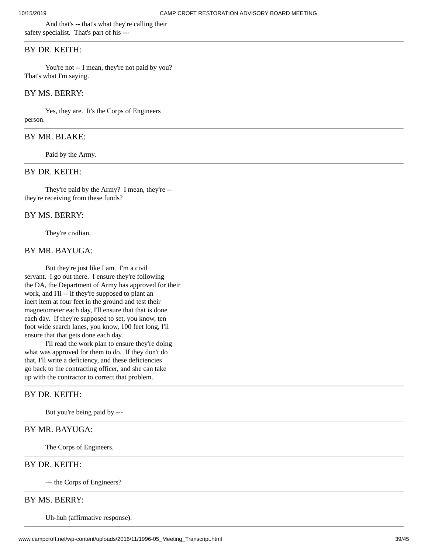And that's -- that's what they're calling their safety specialist. That's part of his ---

## BY DR. KEITH:

You're not -- I mean, they're not paid by you? That's what I'm saying.

# BY MS. BERRY:

Yes, they are. It's the Corps of Engineers person.

## BY MR. BLAKE:

Paid by the Army.

#### BY DR. KEITH:

They're paid by the Army? I mean, they're - they're receiving from these funds?

#### BY MS. BERRY:

They're civilian.

#### BY MR. BAYUGA:

But they're just like I am. I'm a civil servant. I go out there. I ensure they're following the DA, the Department of Army has approved for their work, and I'll -- if they're supposed to plant an inert item at four feet in the ground and test their magnetometer each day, I'll ensure that that is done each day. If they're supposed to set, you know, ten foot wide search lanes, you know, 100 feet long, I'll ensure that that gets done each day.

I'll read the work plan to ensure they're doing what was approved for them to do. If they don't do that, I'll write a deficiency, and these deficiencies go back to the contracting officer, and she can take up with the contractor to correct that problem.

#### BY DR. KEITH:

But you're being paid by ---

# BY MR. BAYUGA:

The Corps of Engineers.

# BY DR. KEITH:

--- the Corps of Engineers?

#### BY MS. BERRY:

Uh-huh (affirmative response).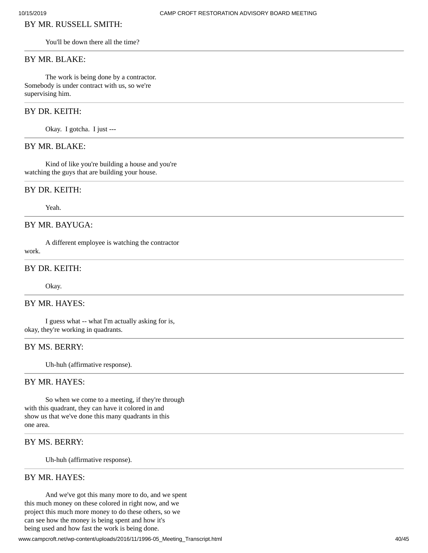# BY MR. RUSSELL SMITH:

You'll be down there all the time?

#### BY MR. BLAKE:

The work is being done by a contractor. Somebody is under contract with us, so we're supervising him.

# BY DR. KEITH:

Okay. I gotcha. I just ---

# BY MR. BLAKE:

Kind of like you're building a house and you're watching the guys that are building your house.

#### BY DR. KEITH:

Yeah.

# BY MR. BAYUGA:

A different employee is watching the contractor

work.

## BY DR. KEITH:

Okay.

# BY MR. HAYES:

I guess what -- what I'm actually asking for is, okay, they're working in quadrants.

## BY MS. BERRY:

Uh-huh (affirmative response).

#### BY MR. HAYES:

So when we come to a meeting, if they're through with this quadrant, they can have it colored in and show us that we've done this many quadrants in this one area.

# BY MS. BERRY:

Uh-huh (affirmative response).

## BY MR. HAYES:

And we've got this many more to do, and we spent this much money on these colored in right now, and we project this much more money to do these others, so we can see how the money is being spent and how it's being used and how fast the work is being done.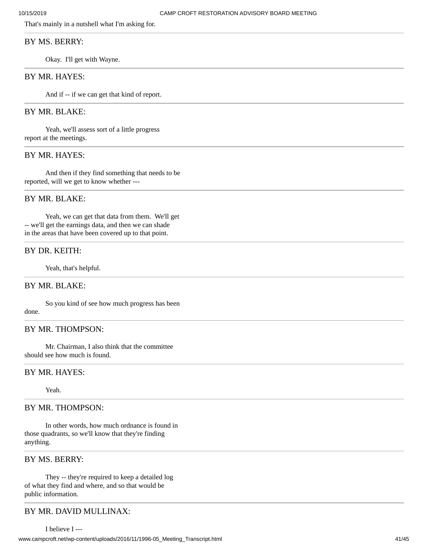That's mainly in a nutshell what I'm asking for.

# BY MS. BERRY:

Okay. I'll get with Wayne.

# BY MR. HAYES:

And if -- if we can get that kind of report.

# BY MR. BLAKE:

Yeah, we'll assess sort of a little progress report at the meetings.

# BY MR. HAYES:

And then if they find something that needs to be reported, will we get to know whether ---

#### BY MR. BLAKE:

Yeah, we can get that data from them. We'll get -- we'll get the earnings data, and then we can shade in the areas that have been covered up to that point.

#### BY DR. KEITH:

Yeah, that's helpful.

#### BY MR. BLAKE:

So you kind of see how much progress has been done.

# BY MR. THOMPSON:

Mr. Chairman, I also think that the committee should see how much is found.

# BY MR. HAYES:

Yeah.

# BY MR. THOMPSON:

In other words, how much ordnance is found in those quadrants, so we'll know that they're finding anything.

#### BY MS. BERRY:

They -- they're required to keep a detailed log of what they find and where, and so that would be public information.

# BY MR. DAVID MULLINAX: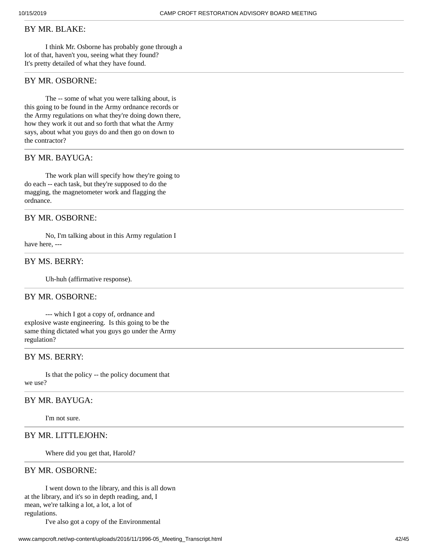#### BY MR. BLAKE:

I think Mr. Osborne has probably gone through a lot of that, haven't you, seeing what they found? It's pretty detailed of what they have found.

#### BY MR. OSBORNE:

The -- some of what you were talking about, is this going to be found in the Army ordnance records or the Army regulations on what they're doing down there, how they work it out and so forth that what the Army says, about what you guys do and then go on down to the contractor?

# BY MR. BAYUGA:

The work plan will specify how they're going to do each -- each task, but they're supposed to do the magging, the magnetometer work and flagging the ordnance.

# BY MR. OSBORNE:

No, I'm talking about in this Army regulation I have here, ---

# BY MS. BERRY:

Uh-huh (affirmative response).

#### BY MR. OSBORNE:

--- which I got a copy of, ordnance and explosive waste engineering. Is this going to be the same thing dictated what you guys go under the Army regulation?

# BY MS. BERRY:

Is that the policy -- the policy document that we use?

## BY MR. BAYUGA:

I'm not sure.

# BY MR. LITTLEJOHN:

Where did you get that, Harold?

## BY MR. OSBORNE:

I went down to the library, and this is all down at the library, and it's so in depth reading, and, I mean, we're talking a lot, a lot, a lot of regulations.

I've also got a copy of the Environmental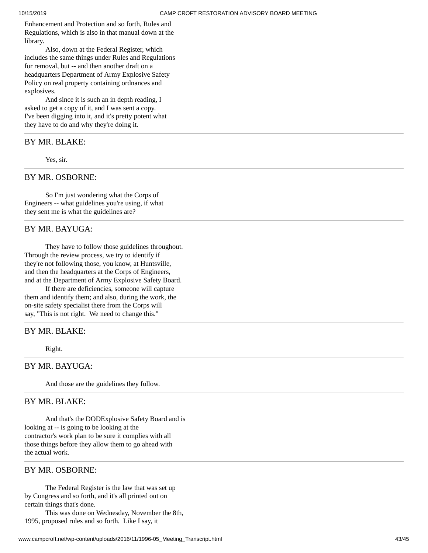Enhancement and Protection and so forth, Rules and Regulations, which is also in that manual down at the library.

Also, down at the Federal Register, which includes the same things under Rules and Regulations for removal, but -- and then another draft on a headquarters Department of Army Explosive Safety Policy on real property containing ordnances and explosives.

And since it is such an in depth reading, I asked to get a copy of it, and I was sent a copy. I've been digging into it, and it's pretty potent what they have to do and why they're doing it.

BY MR. BLAKE:

Yes, sir.

## BY MR. OSBORNE:

So I'm just wondering what the Corps of Engineers -- what guidelines you're using, if what they sent me is what the guidelines are?

#### BY MR. BAYUGA:

They have to follow those guidelines throughout. Through the review process, we try to identify if they're not following those, you know, at Huntsville, and then the headquarters at the Corps of Engineers, and at the Department of Army Explosive Safety Board.

If there are deficiencies, someone will capture them and identify them; and also, during the work, the on-site safety specialist there from the Corps will say, "This is not right. We need to change this."

#### BY MR. BLAKE:

Right.

#### BY MR. BAYUGA:

And those are the guidelines they follow.

#### BY MR. BLAKE:

And that's the DODExplosive Safety Board and is looking at -- is going to be looking at the contractor's work plan to be sure it complies with all those things before they allow them to go ahead with the actual work.

## BY MR. OSBORNE:

The Federal Register is the law that was set up by Congress and so forth, and it's all printed out on certain things that's done.

This was done on Wednesday, November the 8th, 1995, proposed rules and so forth. Like I say, it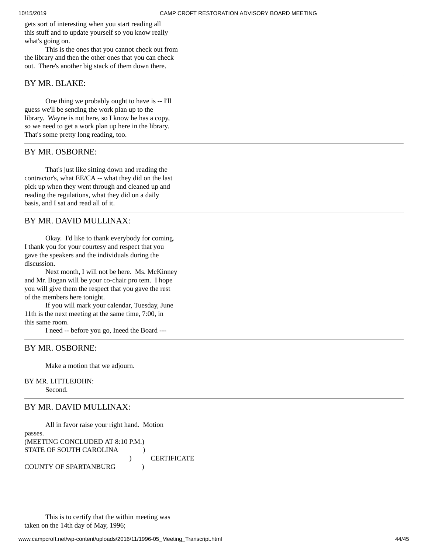gets sort of interesting when you start reading all this stuff and to update yourself so you know really what's going on.

This is the ones that you cannot check out from the library and then the other ones that you can check out. There's another big stack of them down there.

#### BY MR. BLAKE:

One thing we probably ought to have is -- I'll guess we'll be sending the work plan up to the library. Wayne is not here, so I know he has a copy, so we need to get a work plan up here in the library. That's some pretty long reading, too.

### BY MR. OSBORNE:

That's just like sitting down and reading the contractor's, what EE/CA -- what they did on the last pick up when they went through and cleaned up and reading the regulations, what they did on a daily basis, and I sat and read all of it.

## BY MR. DAVID MULLINAX:

Okay. I'd like to thank everybody for coming. I thank you for your courtesy and respect that you gave the speakers and the individuals during the discussion.

Next month, I will not be here. Ms. McKinney and Mr. Bogan will be your co-chair pro tem. I hope you will give them the respect that you gave the rest of the members here tonight.

If you will mark your calendar, Tuesday, June 11th is the next meeting at the same time, 7:00, in this same room.

I need -- before you go, Ineed the Board ---

#### BY MR. OSBORNE:

Make a motion that we adjourn.

#### BY MR. LITTLEJOHN: Second.

# BY MR. DAVID MULLINAX:

```
All in favor raise your right hand. Motion
passes.
(MEETING CONCLUDED AT 8:10 P.M.)
STATE OF SOUTH CAROLINA (1)
                            ) CERTIFICATE
COUNTY OF SPARTANBURG (1995)
```
This is to certify that the within meeting was taken on the 14th day of May, 1996;